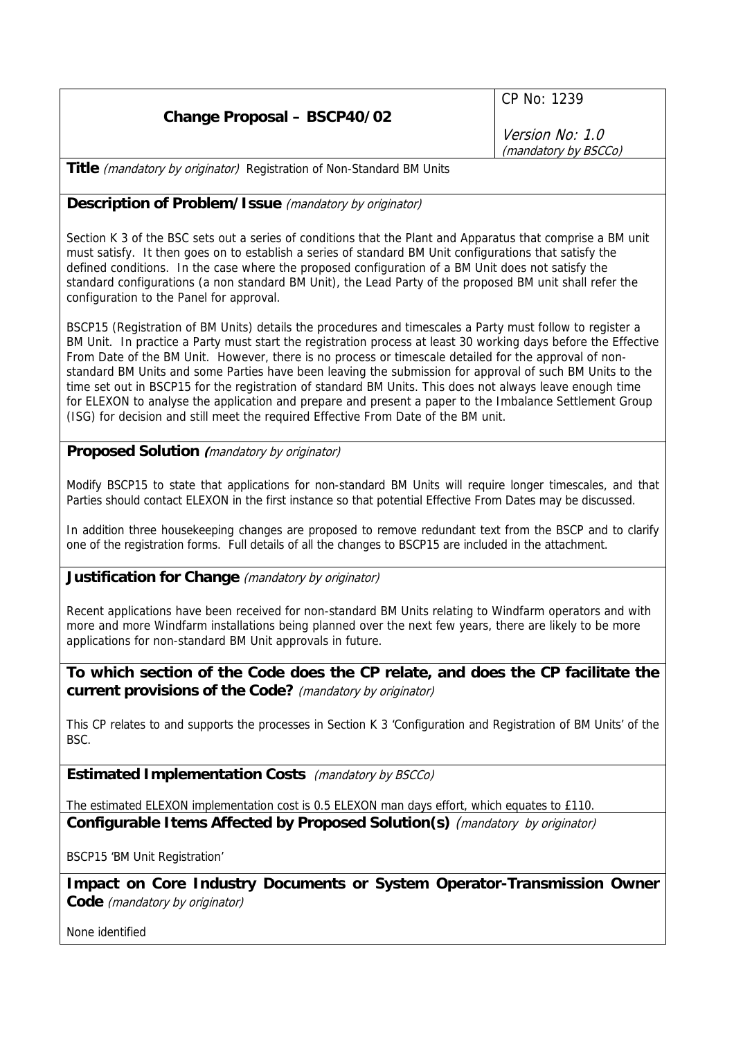CP No: 1239

Version No: 1.0 (mandatory by BSCCo)

**Title** (mandatory by originator) Registration of Non-Standard BM Units

## **Description of Problem/Issue** (mandatory by originator)

Section K 3 of the BSC sets out a series of conditions that the Plant and Apparatus that comprise a BM unit must satisfy. It then goes on to establish a series of standard BM Unit configurations that satisfy the defined conditions. In the case where the proposed configuration of a BM Unit does not satisfy the standard configurations (a non standard BM Unit), the Lead Party of the proposed BM unit shall refer the configuration to the Panel for approval.

BSCP15 (Registration of BM Units) details the procedures and timescales a Party must follow to register a BM Unit. In practice a Party must start the registration process at least 30 working days before the Effective From Date of the BM Unit. However, there is no process or timescale detailed for the approval of nonstandard BM Units and some Parties have been leaving the submission for approval of such BM Units to the time set out in BSCP15 for the registration of standard BM Units. This does not always leave enough time for ELEXON to analyse the application and prepare and present a paper to the Imbalance Settlement Group (ISG) for decision and still meet the required Effective From Date of the BM unit.

## **Proposed Solution (**mandatory by originator)

Modify BSCP15 to state that applications for non-standard BM Units will require longer timescales, and that Parties should contact ELEXON in the first instance so that potential Effective From Dates may be discussed.

In addition three housekeeping changes are proposed to remove redundant text from the BSCP and to clarify one of the registration forms. Full details of all the changes to BSCP15 are included in the attachment.

## **Justification for Change** (mandatory by originator)

Recent applications have been received for non-standard BM Units relating to Windfarm operators and with more and more Windfarm installations being planned over the next few years, there are likely to be more applications for non-standard BM Unit approvals in future.

**To which section of the Code does the CP relate, and does the CP facilitate the current provisions of the Code?** (mandatory by originator)

This CP relates to and supports the processes in Section K 3 'Configuration and Registration of BM Units' of the BSC.

**Estimated Implementation Costs** (mandatory by BSCCo)

The estimated ELEXON implementation cost is 0.5 ELEXON man days effort, which equates to £110.

**Configurable Items Affected by Proposed Solution(s)** (mandatory by originator)

BSCP15 'BM Unit Registration'

**Impact on Core Industry Documents or System Operator-Transmission Owner Code** (mandatory by originator)

None identified